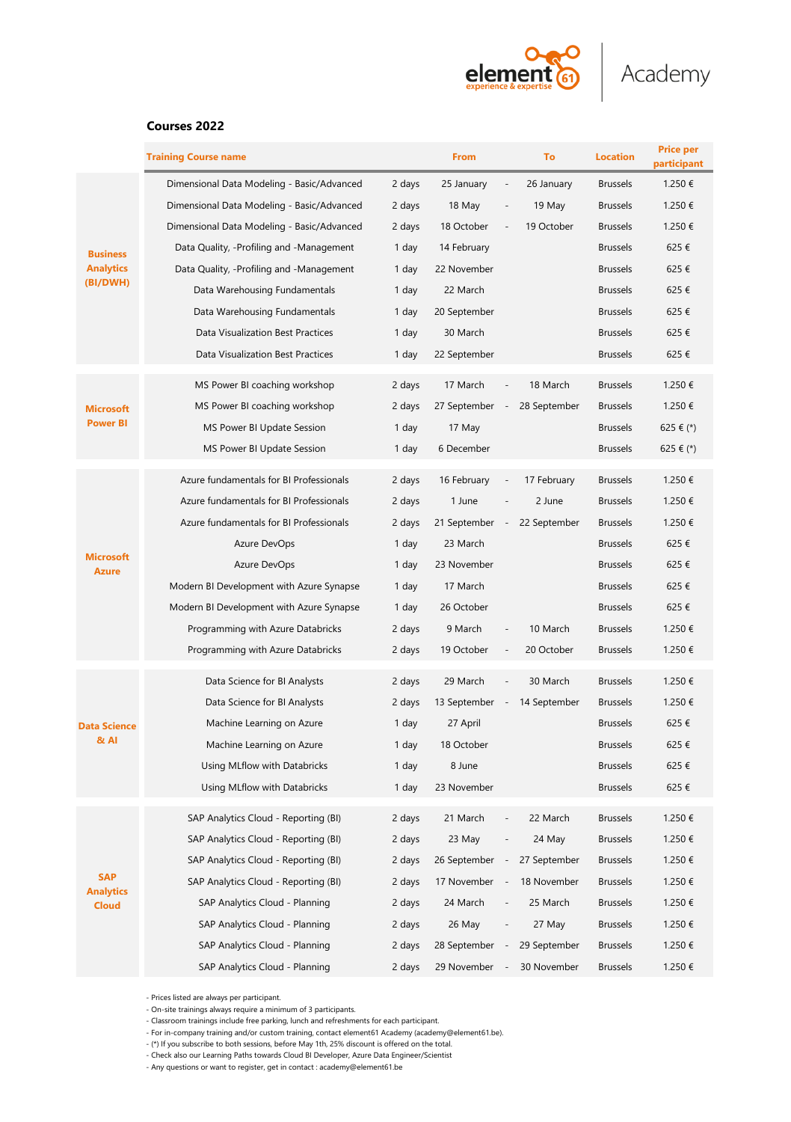

# **Courses 2022**

|                                                 | <b>Training Course name</b>                |        | From           |                          | To           | <b>Location</b> | <b>Price per</b><br>participant |
|-------------------------------------------------|--------------------------------------------|--------|----------------|--------------------------|--------------|-----------------|---------------------------------|
|                                                 | Dimensional Data Modeling - Basic/Advanced | 2 days | 25 January     |                          | 26 January   | <b>Brussels</b> | 1.250€                          |
| <b>Business</b><br><b>Analytics</b><br>(BI/DWH) | Dimensional Data Modeling - Basic/Advanced | 2 days | 18 May         |                          | 19 May       | <b>Brussels</b> | 1.250€                          |
|                                                 | Dimensional Data Modeling - Basic/Advanced | 2 days | 18 October     |                          | 19 October   | <b>Brussels</b> | 1.250€                          |
|                                                 | Data Quality, -Profiling and -Management   | 1 day  | 14 February    |                          |              | <b>Brussels</b> | 625€                            |
|                                                 | Data Quality, -Profiling and -Management   | 1 day  | 22 November    |                          |              | <b>Brussels</b> | 625€                            |
|                                                 | Data Warehousing Fundamentals              | 1 day  | 22 March       |                          |              | <b>Brussels</b> | 625€                            |
|                                                 | Data Warehousing Fundamentals              | 1 day  | 20 September   |                          |              | <b>Brussels</b> | 625€                            |
|                                                 | Data Visualization Best Practices          | 1 day  | 30 March       |                          |              | <b>Brussels</b> | 625€                            |
|                                                 | Data Visualization Best Practices          | 1 day  | 22 September   |                          |              | <b>Brussels</b> | 625€                            |
|                                                 | MS Power BI coaching workshop              | 2 days | 17 March       |                          | 18 March     | <b>Brussels</b> | 1.250€                          |
| <b>Microsoft</b><br><b>Power BI</b>             | MS Power BI coaching workshop              | 2 days | 27 September - |                          | 28 September | <b>Brussels</b> | 1.250€                          |
|                                                 | MS Power BI Update Session                 | 1 day  | 17 May         |                          |              | <b>Brussels</b> | 625 € (*)                       |
|                                                 | MS Power BI Update Session                 | 1 day  | 6 December     |                          |              | Brussels        | 625 € (*)                       |
| <b>Microsoft</b><br><b>Azure</b>                | Azure fundamentals for BI Professionals    | 2 days | 16 February    |                          | 17 February  | <b>Brussels</b> | 1.250€                          |
|                                                 | Azure fundamentals for BI Professionals    | 2 days | 1 June         |                          | 2 June       | <b>Brussels</b> | 1.250€                          |
|                                                 | Azure fundamentals for BI Professionals    | 2 days | 21 September   |                          | 22 September | <b>Brussels</b> | 1.250€                          |
|                                                 | Azure DevOps                               | 1 day  | 23 March       |                          |              | <b>Brussels</b> | 625€                            |
|                                                 | Azure DevOps                               | 1 day  | 23 November    |                          |              | <b>Brussels</b> | 625€                            |
|                                                 | Modern BI Development with Azure Synapse   | 1 day  | 17 March       |                          |              | <b>Brussels</b> | 625€                            |
|                                                 | Modern BI Development with Azure Synapse   | 1 day  | 26 October     |                          |              | <b>Brussels</b> | 625€                            |
|                                                 | Programming with Azure Databricks          | 2 days | 9 March        |                          | 10 March     | <b>Brussels</b> | 1.250€                          |
|                                                 | Programming with Azure Databricks          | 2 days | 19 October     |                          | 20 October   | <b>Brussels</b> | 1.250€                          |
| <b>Data Science</b><br>& Al                     | Data Science for BI Analysts               | 2 days | 29 March       |                          | 30 March     | <b>Brussels</b> | 1.250€                          |
|                                                 | Data Science for BI Analysts               | 2 days | 13 September   | $\overline{\phantom{a}}$ | 14 September | <b>Brussels</b> | 1.250€                          |
|                                                 | Machine Learning on Azure                  | 1 day  | 27 April       |                          |              | <b>Brussels</b> | 625€                            |
|                                                 | Machine Learning on Azure                  | 1 day  | 18 October     |                          |              | <b>Brussels</b> | 625€                            |
|                                                 | Using MLflow with Databricks               | 1 day  | 8 June         |                          |              | <b>Brussels</b> | 625€                            |
|                                                 | Using MLflow with Databricks               | 1 day  | 23 November    |                          |              | <b>Brussels</b> | 625€                            |
|                                                 | SAP Analytics Cloud - Reporting (BI)       | 2 days | 21 March       | L.                       | 22 March     | <b>Brussels</b> | 1.250€                          |
|                                                 | SAP Analytics Cloud - Reporting (BI)       | 2 days | 23 May         |                          | 24 May       | <b>Brussels</b> | 1.250€                          |
| <b>SAP</b><br><b>Analytics</b><br><b>Cloud</b>  | SAP Analytics Cloud - Reporting (BI)       | 2 days | 26 September   |                          | 27 September | <b>Brussels</b> | 1.250€                          |
|                                                 | SAP Analytics Cloud - Reporting (BI)       | 2 days | 17 November    |                          | 18 November  | <b>Brussels</b> | 1.250€                          |
|                                                 | SAP Analytics Cloud - Planning             | 2 days | 24 March       |                          | 25 March     | <b>Brussels</b> | 1.250€                          |
|                                                 | SAP Analytics Cloud - Planning             | 2 days | 26 May         |                          | 27 May       | <b>Brussels</b> | 1.250€                          |
|                                                 | SAP Analytics Cloud - Planning             | 2 days | 28 September   |                          | 29 September | <b>Brussels</b> | 1.250€                          |
|                                                 | SAP Analytics Cloud - Planning             | 2 days | 29 November    |                          | 30 November  | <b>Brussels</b> | 1.250€                          |

- Prices listed are always per participant.

- On-site trainings always require a minimum of 3 participants.

- Classroom trainings include free parking, lunch and refreshments for each participant.

- For in-company training and/or custom training, contact element61 Academy (academy@element61.be).

- (\*) If you subscribe to both sessions, before May 1th, 25% discount is offered on the total.

- Check also our Learning Paths towards Cloud BI Developer, Azure Data Engineer/Scientist - Any questions or want to register, get in contact : academy@element61.be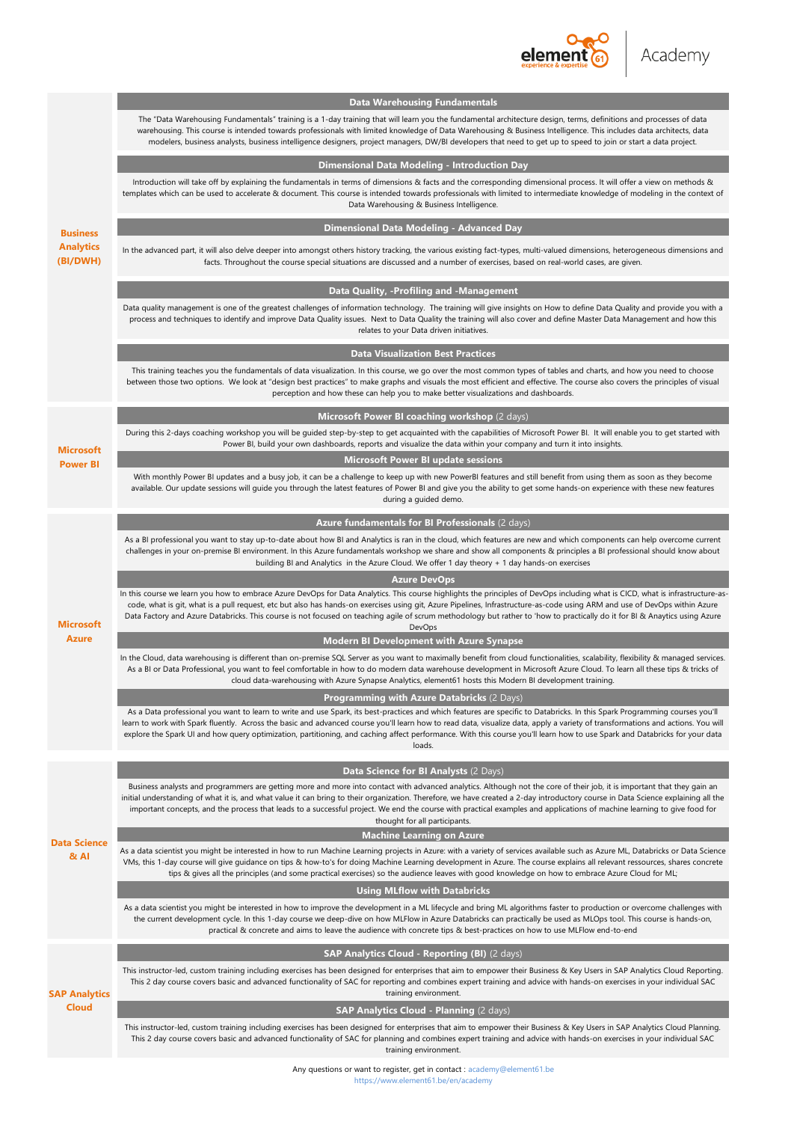

|                                      | The "Data Warehousing Fundamentals" training is a 1-day training that will learn you the fundamental architecture design, terms, definitions and processes of data<br>warehousing. This course is intended towards professionals with limited knowledge of Data Warehousing & Business Intelligence. This includes data architects, data<br>modelers, business analysts, business intelligence designers, project managers, DW/BI developers that need to get up to speed to join or start a data project.                                                               |
|--------------------------------------|--------------------------------------------------------------------------------------------------------------------------------------------------------------------------------------------------------------------------------------------------------------------------------------------------------------------------------------------------------------------------------------------------------------------------------------------------------------------------------------------------------------------------------------------------------------------------|
|                                      | Dimensional Data Modeling - Introduction Day                                                                                                                                                                                                                                                                                                                                                                                                                                                                                                                             |
|                                      | Introduction will take off by explaining the fundamentals in terms of dimensions & facts and the corresponding dimensional process. It will offer a view on methods &<br>templates which can be used to accelerate & document. This course is intended towards professionals with limited to intermediate knowledge of modeling in the context of<br>Data Warehousing & Business Intelligence.                                                                                                                                                                           |
| <b>Business</b>                      | Dimensional Data Modeling - Advanced Day                                                                                                                                                                                                                                                                                                                                                                                                                                                                                                                                 |
| <b>Analytics</b><br>(BI/DWH)         | In the advanced part, it will also delve deeper into amongst others history tracking, the various existing fact-types, multi-valued dimensions, heterogeneous dimensions and<br>facts. Throughout the course special situations are discussed and a number of exercises, based on real-world cases, are given.                                                                                                                                                                                                                                                           |
|                                      | Data Quality, -Profiling and -Management                                                                                                                                                                                                                                                                                                                                                                                                                                                                                                                                 |
|                                      | Data quality management is one of the greatest challenges of information technology. The training will give insights on How to define Data Quality and provide you with a<br>process and techniques to identify and improve Data Quality issues. Next to Data Quality the training will also cover and define Master Data Management and how this<br>relates to your Data driven initiatives.                                                                                                                                                                            |
|                                      | <b>Data Visualization Best Practices</b>                                                                                                                                                                                                                                                                                                                                                                                                                                                                                                                                 |
|                                      | This training teaches you the fundamentals of data visualization. In this course, we go over the most common types of tables and charts, and how you need to choose<br>between those two options. We look at "design best practices" to make graphs and visuals the most efficient and effective. The course also covers the principles of visual<br>perception and how these can help you to make better visualizations and dashboards.                                                                                                                                 |
| <b>Microsoft</b><br><b>Power BI</b>  | Microsoft Power BI coaching workshop (2 days)                                                                                                                                                                                                                                                                                                                                                                                                                                                                                                                            |
|                                      | During this 2-days coaching workshop you will be guided step-by-step to get acquainted with the capabilities of Microsoft Power BI. It will enable you to get started with<br>Power BI, build your own dashboards, reports and visualize the data within your company and turn it into insights.                                                                                                                                                                                                                                                                         |
|                                      | <b>Microsoft Power BI update sessions</b>                                                                                                                                                                                                                                                                                                                                                                                                                                                                                                                                |
|                                      | With monthly Power BI updates and a busy job, it can be a challenge to keep up with new PowerBI features and still benefit from using them as soon as they become<br>available. Our update sessions will guide you through the latest features of Power BI and give you the ability to get some hands-on experience with these new features<br>during a guided demo.                                                                                                                                                                                                     |
|                                      | Azure fundamentals for BI Professionals (2 days)                                                                                                                                                                                                                                                                                                                                                                                                                                                                                                                         |
|                                      | As a BI professional you want to stay up-to-date about how BI and Analytics is ran in the cloud, which features are new and which components can help overcome current<br>challenges in your on-premise BI environment. In this Azure fundamentals workshop we share and show all components & principles a BI professional should know about<br>building BI and Analytics in the Azure Cloud. We offer 1 day theory + 1 day hands-on exercises                                                                                                                          |
|                                      | <b>Azure DevOps</b>                                                                                                                                                                                                                                                                                                                                                                                                                                                                                                                                                      |
| <b>Microsoft</b>                     | In this course we learn you how to embrace Azure DevOps for Data Analytics. This course highlights the principles of DevOps including what is CICD, what is infrastructure-as-<br>code, what is git, what is a pull request, etc but also has hands-on exercises using git. Azure Pipelines, Infrastructure-as-code using ARM and use of DevOps within Azure<br>Data Factory and Azure Databricks. This course is not focused on teaching agile of scrum methodology but rather to 'how to practically do it for BI & Anaytics using Azure<br>DevOps                     |
| <b>Azure</b>                         | <b>Modern BI Development with Azure Synapse</b>                                                                                                                                                                                                                                                                                                                                                                                                                                                                                                                          |
|                                      | In the Cloud, data warehousing is different than on-premise SQL Server as you want to maximally benefit from cloud functionalities, scalability, flexibility & managed services.<br>As a BI or Data Professional, you want to feel comfortable in how to do modern data warehouse development in Microsoft Azure Cloud. To learn all these tips & tricks of<br>cloud data-warehousing with Azure Synapse Analytics, element61 hosts this Modern BI development training.                                                                                                 |
|                                      | Programming with Azure Databricks (2 Days)                                                                                                                                                                                                                                                                                                                                                                                                                                                                                                                               |
|                                      | As a Data professional you want to leam to write and use Spark, its best-practices and which features are specific to Databricks. In this Spark Programming courses you'll<br>learn to work with Spark fluently. Across the basic and advanced course you'll learn how to read data, visualize data, apply a variety of transformations and actions. You will<br>explore the Spark UI and how query optimization, partitioning, and caching affect performance. With this course you'll learn how to use Spark and Databricks for your data<br>loads.                    |
|                                      | Data Science for BI Analysts (2 Days)                                                                                                                                                                                                                                                                                                                                                                                                                                                                                                                                    |
|                                      | Business analysts and programmers are getting more and more into contact with advanced analytics. Although not the core of their job, it is important that they gain an<br>initial understanding of what it is, and what value it can bring to their organization. Therefore, we have created a 2-day introductory course in Data Science explaining all the<br>important concepts, and the process that leads to a successful project. We end the course with practical examples and applications of machine learning to give food for<br>thought for all participants. |
| <b>Data Science</b>                  | <b>Machine Learning on Azure</b>                                                                                                                                                                                                                                                                                                                                                                                                                                                                                                                                         |
| $8t$ AI                              | As a data scientist you might be interested in how to run Machine Learning projects in Azure: with a variety of services available such as Azure ML, Databricks or Data Science<br>VMs, this 1-day course will give guidance on tips & how-to's for doing Machine Learning development in Azure. The course explains all relevant ressources, shares concrete<br>tips & gives all the principles (and some practical exercises) so the audience leaves with good knowledge on how to embrace Azure Cloud for ML;                                                         |
|                                      | <b>Using MLflow with Databricks</b>                                                                                                                                                                                                                                                                                                                                                                                                                                                                                                                                      |
|                                      | As a data scientist you might be interested in how to improve the development in a ML lifecycle and bring ML algorithms faster to production or overcome challenges with<br>the current development cycle. In this 1-day course we deep-dive on how MLFlow in Azure Databricks can practically be used as MLOps tool. This course is hands-on,<br>practical & concrete and aims to leave the audience with concrete tips & best-practices on how to use MLFlow end-to-end                                                                                                |
| <b>SAP Analytics</b><br><b>Cloud</b> | SAP Analytics Cloud - Reporting (BI) (2 days)                                                                                                                                                                                                                                                                                                                                                                                                                                                                                                                            |
|                                      | This instructor-led, custom training including exercises has been designed for enterprises that aim to empower their Business & Key Users in SAP Analytics Cloud Reporting.<br>This 2 day course covers basic and advanced functionality of SAC for reporting and combines expert training and advice with hands-on exercises in your individual SAC<br>training environment.                                                                                                                                                                                            |
|                                      | SAP Analytics Cloud - Planning (2 days)                                                                                                                                                                                                                                                                                                                                                                                                                                                                                                                                  |
|                                      | This instructor-led, custom training including exercises has been designed for enterprises that aim to empower their Business & Key Users in SAP Analytics Cloud Planning.<br>This 2 day course covers basic and advanced functionality of SAC for planning and combines expert training and advice with hands-on exercises in your individual SAC<br>training environment.                                                                                                                                                                                              |
|                                      |                                                                                                                                                                                                                                                                                                                                                                                                                                                                                                                                                                          |

**Data Warehousing Fundamentals**